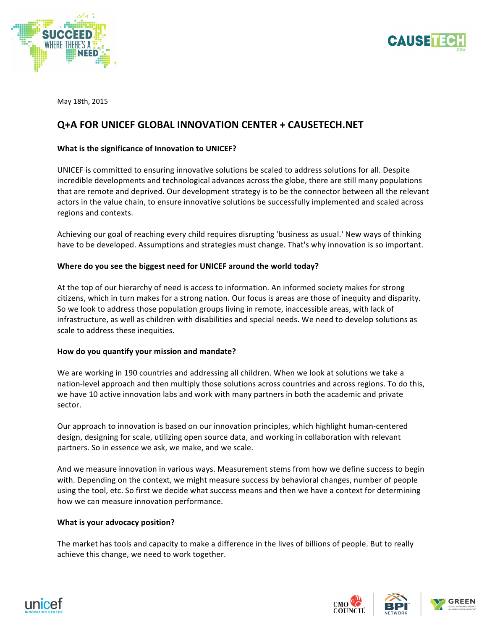



May 18th, 2015

# **Q+A FOR UNICEF GLOBAL INNOVATION CENTER + CAUSETECH.NET**

# **What is the significance of Innovation to UNICEF?**

UNICEF is committed to ensuring innovative solutions be scaled to address solutions for all. Despite incredible developments and technological advances across the globe, there are still many populations that are remote and deprived. Our development strategy is to be the connector between all the relevant actors in the value chain, to ensure innovative solutions be successfully implemented and scaled across regions and contexts.

Achieving our goal of reaching every child requires disrupting 'business as usual.' New ways of thinking have to be developed. Assumptions and strategies must change. That's why innovation is so important.

## Where do you see the biggest need for UNICEF around the world today?

At the top of our hierarchy of need is access to information. An informed society makes for strong citizens, which in turn makes for a strong nation. Our focus is areas are those of inequity and disparity. So we look to address those population groups living in remote, inaccessible areas, with lack of infrastructure, as well as children with disabilities and special needs. We need to develop solutions as scale to address these inequities.

#### How do you quantify your mission and mandate?

We are working in 190 countries and addressing all children. When we look at solutions we take a nation-level approach and then multiply those solutions across countries and across regions. To do this, we have 10 active innovation labs and work with many partners in both the academic and private sector. 

Our approach to innovation is based on our innovation principles, which highlight human-centered design, designing for scale, utilizing open source data, and working in collaboration with relevant partners. So in essence we ask, we make, and we scale.

And we measure innovation in various ways. Measurement stems from how we define success to begin with. Depending on the context, we might measure success by behavioral changes, number of people using the tool, etc. So first we decide what success means and then we have a context for determining how we can measure innovation performance.

# **What is your advocacy position?**

The market has tools and capacity to make a difference in the lives of billions of people. But to really achieve this change, we need to work together.



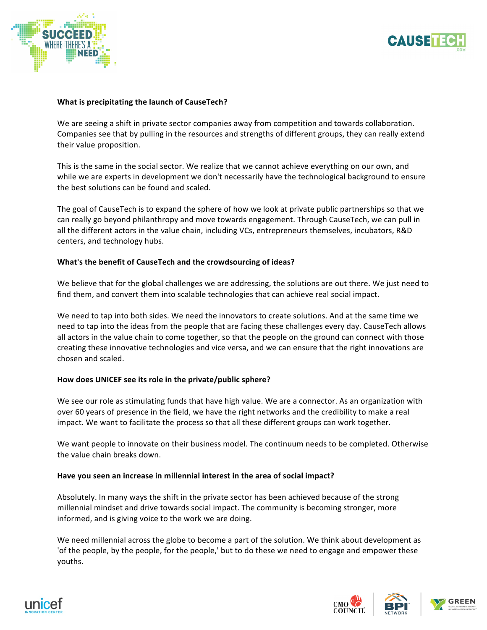



#### **What is precipitating the launch of CauseTech?**

We are seeing a shift in private sector companies away from competition and towards collaboration. Companies see that by pulling in the resources and strengths of different groups, they can really extend their value proposition.

This is the same in the social sector. We realize that we cannot achieve everything on our own, and while we are experts in development we don't necessarily have the technological background to ensure the best solutions can be found and scaled.

The goal of CauseTech is to expand the sphere of how we look at private public partnerships so that we can really go beyond philanthropy and move towards engagement. Through CauseTech, we can pull in all the different actors in the value chain, including VCs, entrepreneurs themselves, incubators, R&D centers, and technology hubs.

## **What's the benefit of CauseTech and the crowdsourcing of ideas?**

We believe that for the global challenges we are addressing, the solutions are out there. We just need to find them, and convert them into scalable technologies that can achieve real social impact.

We need to tap into both sides. We need the innovators to create solutions. And at the same time we need to tap into the ideas from the people that are facing these challenges every day. CauseTech allows all actors in the value chain to come together, so that the people on the ground can connect with those creating these innovative technologies and vice versa, and we can ensure that the right innovations are chosen and scaled.

#### How does UNICEF see its role in the private/public sphere?

We see our role as stimulating funds that have high value. We are a connector. As an organization with over 60 years of presence in the field, we have the right networks and the credibility to make a real impact. We want to facilitate the process so that all these different groups can work together.

We want people to innovate on their business model. The continuum needs to be completed. Otherwise the value chain breaks down.

#### Have you seen an increase in millennial interest in the area of social impact?

Absolutely. In many ways the shift in the private sector has been achieved because of the strong millennial mindset and drive towards social impact. The community is becoming stronger, more informed, and is giving voice to the work we are doing.

We need millennial across the globe to become a part of the solution. We think about development as 'of the people, by the people, for the people,' but to do these we need to engage and empower these youths. 



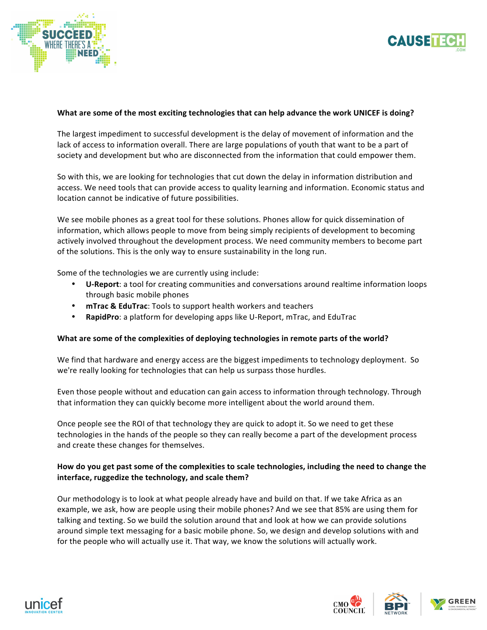



#### What are some of the most exciting technologies that can help advance the work UNICEF is doing?

The largest impediment to successful development is the delay of movement of information and the lack of access to information overall. There are large populations of youth that want to be a part of society and development but who are disconnected from the information that could empower them.

So with this, we are looking for technologies that cut down the delay in information distribution and access. We need tools that can provide access to quality learning and information. Economic status and location cannot be indicative of future possibilities.

We see mobile phones as a great tool for these solutions. Phones allow for quick dissemination of information, which allows people to move from being simply recipients of development to becoming actively involved throughout the development process. We need community members to become part of the solutions. This is the only way to ensure sustainability in the long run.

Some of the technologies we are currently using include:

- U-Report: a tool for creating communities and conversations around realtime information loops through basic mobile phones
- **mTrac & EduTrac**: Tools to support health workers and teachers
- **RapidPro:** a platform for developing apps like U-Report, mTrac, and EduTrac

#### What are some of the complexities of deploying technologies in remote parts of the world?

We find that hardware and energy access are the biggest impediments to technology deployment. So we're really looking for technologies that can help us surpass those hurdles.

Even those people without and education can gain access to information through technology. Through that information they can quickly become more intelligent about the world around them.

Once people see the ROI of that technology they are quick to adopt it. So we need to get these technologies in the hands of the people so they can really become a part of the development process and create these changes for themselves.

# How do you get past some of the complexities to scale technologies, including the need to change the interface, ruggedize the technology, and scale them?

Our methodology is to look at what people already have and build on that. If we take Africa as an example, we ask, how are people using their mobile phones? And we see that 85% are using them for talking and texting. So we build the solution around that and look at how we can provide solutions around simple text messaging for a basic mobile phone. So, we design and develop solutions with and for the people who will actually use it. That way, we know the solutions will actually work.